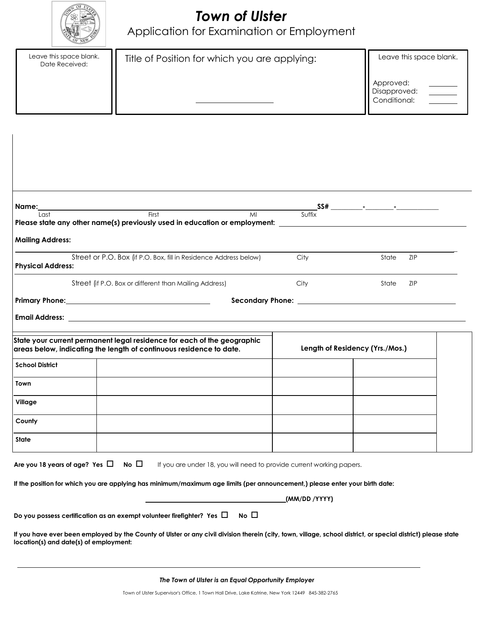

# *Town of Ulster*

Application for Examination or Employment

| Leave this space blank.<br>Date Received: | Title of Position for which you are applying: | Leave this space blank.                   |
|-------------------------------------------|-----------------------------------------------|-------------------------------------------|
|                                           |                                               | Approved:<br>Disapproved:<br>Conditional: |

|      | Please state any other name(s) previously used in education or employment: _________________________ |
|------|------------------------------------------------------------------------------------------------------|
|      |                                                                                                      |
| City | State<br><b>ZIP</b>                                                                                  |
| City | <b>ZIP</b><br>State                                                                                  |
|      |                                                                                                      |
|      |                                                                                                      |
|      |                                                                                                      |
|      |                                                                                                      |
|      | Length of Residency (Yrs./Mos.)                                                                      |
|      |                                                                                                      |
|      |                                                                                                      |
|      |                                                                                                      |
|      |                                                                                                      |
|      | Suffix                                                                                               |

**If the position for which you are applying has minimum/maximum age limits (per announcement,) please enter your birth date:**

|                                                                               |             | (MM/DD /YYYY) |
|-------------------------------------------------------------------------------|-------------|---------------|
| Do you possess certification as an exempt volunteer firefighter? Yes $\,\Box$ | $No$ $\Box$ |               |

If you have ever been employed by the County of Ulster or any civil division therein (city, town, village, school district, or special district) please state **location(s) and date(s) of employment:**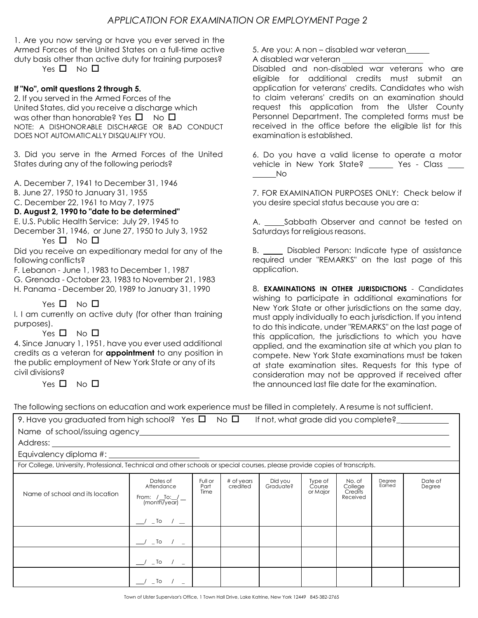1. Are you now serving or have you ever served in the Armed Forces of the United States on a full-time active duty basis other than active duty for training purposes?

Yes  $\Pi$  No  $\Pi$ 

### **If "No", omit questions 2 through 5.**

2. If you served in the Armed Forces of the United States, did you receive a discharge which was other than honorable? Yes  $\Box$  No  $\Box$ NOTE: A DISHONORABLE DISCHARGE OR BAD CONDUCT DOES NOT AUTOMATICALLY DISQUALIFY YOU.

3. Did you serve in the Armed Forces of the United States during any of the following periods?

A. December 7, 1941 to December 31, 1946

B. June 27, 1950 to January 31, 1955

C. December 22, 1961 to May 7, 1975

#### **D. August 2, 1990 to "date to be determined"**

E. U.S. Public Health Service: July 29, 1945 to

December 31, 1946, or June 27, 1950 to July 3, 1952 Yes  $\square$  No  $\square$ 

following conflicts?

F. Lebanon - June 1, 1983 to December 1, 1987

- G. Grenada October 23, 1983 to November 21, 1983
- H. Panama December 20, 1989 to January 31, 1990

## Yes  $\square$  No  $\square$

I. I am currently on active duty (for other than training purposes).

#### Yes  $\square$  No  $\square$

4. Since January 1, 1951, have you ever used additional credits as a veteran for **appointment** to any position in the public employment of New York State or any of its civil divisions?

Yes  $\square$  No  $\square$ 

5. Are you: A non – disabled war veteran

A disabled war veteran

Disabled and non-disabled war veterans who are eligible for additional credits must submit an application for veterans' credits. Candidates who wish to claim veterans' credits on an examination should request this application from the Ulster County Personnel Department. The completed forms must be received in the office before the eligible list for this examination is established.

6. Do you have a valid license to operate a motor vehicle in New York State? Yes - Class No

7. FOR EXAMINATION PURPOSES ONLY: Check below if you desire special status because you are a:

A. Sabbath Observer and cannot be tested on Saturdays for religious reasons.

Did you receive an expeditionary medal for any of the B. Comes Disabled Person: Indicate type of assistance required under "REMARKS" on the last page of this application.

> 8. **EXAMINATIONS IN OTHER JURISDICTIONS** - Candidates wishing to participate in additional examinations for New York State or other jurisdictions on the same day, must apply individually to each jurisdiction. If you intend to do this indicate, under "REMARKS" on the last page of this application, the jurisdictions to which you have applied, and the examination site at which you plan to compete. New York State examinations must be taken at state examination sites. Requests for this type of consideration may not be approved if received after the announced last file date for the examination.

The following sections on education and work experience must be filled in completely. A resume is not sufficient.

| 9. Have you graduated from high school? Yes $\square$ No $\square$                                                           |                                                                         |                         |                        | If not, what grade did you complete? |                               |                                          |                  |                   |
|------------------------------------------------------------------------------------------------------------------------------|-------------------------------------------------------------------------|-------------------------|------------------------|--------------------------------------|-------------------------------|------------------------------------------|------------------|-------------------|
|                                                                                                                              |                                                                         |                         |                        |                                      |                               |                                          |                  |                   |
| Address:                                                                                                                     |                                                                         |                         |                        |                                      |                               |                                          |                  |                   |
|                                                                                                                              |                                                                         |                         |                        |                                      |                               |                                          |                  |                   |
| For College, University, Professional, Technical and other schools or special courses, please provide copies of transcripts. |                                                                         |                         |                        |                                      |                               |                                          |                  |                   |
| Name of school and its location                                                                                              | Dates of<br>Attendance<br>From: $/$ To: $/$ $-$ (month/year)<br>$\_$ To | Full or<br>Part<br>Time | # of years<br>credited | Did you<br>Graduate?                 | Type of<br>Course<br>or Major | No. of<br>College<br>Credits<br>Received | Degree<br>Earned | Date of<br>Degree |
|                                                                                                                              | $\frac{1}{\sqrt{2}}$ To $\frac{1}{\sqrt{2}}$                            |                         |                        |                                      |                               |                                          |                  |                   |
|                                                                                                                              | $\_$ To $/$ $\_$                                                        |                         |                        |                                      |                               |                                          |                  |                   |
|                                                                                                                              | $\_$ To                                                                 |                         |                        |                                      |                               |                                          |                  |                   |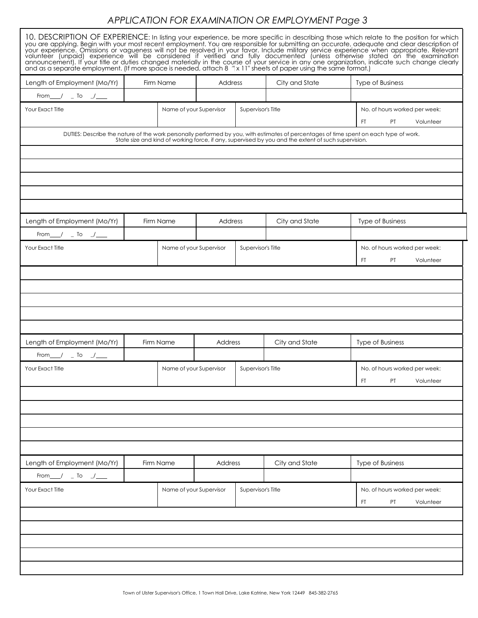# *APPLICATION FOR EXAMINATION OR EMPLOYMENT Page 3*

| and as a separate employment. (If more space is needed, attach 8 "x 11" sheets of paper using the same format.) |                      |                         |                         |                    |                                                         | 10. DESCRIPTION OF EXPERIENCE: In listing your experience, be more specific in describing those which relate to the position for which<br>you are applying. Begin with your most recent employment. You are responsible for submitting an accurate, adequate and clear description of<br>your experience. Omissions or vagueness will not be resolved in your favor. Includ<br>announcement). If your title or duties changed materially in the course of your service in any one organization, indicate such change clearly |  |  |
|-----------------------------------------------------------------------------------------------------------------|----------------------|-------------------------|-------------------------|--------------------|---------------------------------------------------------|------------------------------------------------------------------------------------------------------------------------------------------------------------------------------------------------------------------------------------------------------------------------------------------------------------------------------------------------------------------------------------------------------------------------------------------------------------------------------------------------------------------------------|--|--|
| Length of Employment (Mo/Yr)                                                                                    |                      | Firm Name<br>Address    |                         |                    | City and State                                          | <b>Type of Business</b>                                                                                                                                                                                                                                                                                                                                                                                                                                                                                                      |  |  |
| From $\frac{1}{\sqrt{2}}$ $\frac{1}{\sqrt{2}}$                                                                  |                      |                         |                         |                    |                                                         |                                                                                                                                                                                                                                                                                                                                                                                                                                                                                                                              |  |  |
| Your Exact Title                                                                                                |                      |                         | Name of your Supervisor | Supervisor's Title |                                                         | No. of hours worked per week:<br><b>PT</b><br>Volunteer<br>FT.                                                                                                                                                                                                                                                                                                                                                                                                                                                               |  |  |
|                                                                                                                 |                      |                         |                         |                    |                                                         | DUTIES: Describe the nature of the work personally performed by you, with estimates of percentages of time spent on each type of work.<br>State size and kind of working force, if any, supervised by you and the extent of such                                                                                                                                                                                                                                                                                             |  |  |
|                                                                                                                 |                      |                         |                         |                    |                                                         |                                                                                                                                                                                                                                                                                                                                                                                                                                                                                                                              |  |  |
| Length of Employment (Mo/Yr)                                                                                    |                      | Firm Name               | Address                 |                    | City and State                                          | <b>Type of Business</b>                                                                                                                                                                                                                                                                                                                                                                                                                                                                                                      |  |  |
| From $\frac{1}{\sqrt{2}}$ To $\frac{1}{\sqrt{2}}$                                                               |                      |                         |                         |                    |                                                         |                                                                                                                                                                                                                                                                                                                                                                                                                                                                                                                              |  |  |
| Your Exact Title                                                                                                |                      |                         | Name of your Supervisor | Supervisor's Title |                                                         | No. of hours worked per week:                                                                                                                                                                                                                                                                                                                                                                                                                                                                                                |  |  |
|                                                                                                                 |                      |                         |                         |                    |                                                         | FT.<br><b>PT</b><br>Volunteer                                                                                                                                                                                                                                                                                                                                                                                                                                                                                                |  |  |
|                                                                                                                 |                      |                         |                         |                    |                                                         |                                                                                                                                                                                                                                                                                                                                                                                                                                                                                                                              |  |  |
|                                                                                                                 |                      |                         |                         |                    |                                                         |                                                                                                                                                                                                                                                                                                                                                                                                                                                                                                                              |  |  |
|                                                                                                                 |                      |                         |                         |                    |                                                         |                                                                                                                                                                                                                                                                                                                                                                                                                                                                                                                              |  |  |
|                                                                                                                 |                      |                         |                         |                    |                                                         |                                                                                                                                                                                                                                                                                                                                                                                                                                                                                                                              |  |  |
| Length of Employment (Mo/Yr)                                                                                    | Firm Name<br>Address |                         |                         | City and State     | <b>Type of Business</b>                                 |                                                                                                                                                                                                                                                                                                                                                                                                                                                                                                                              |  |  |
| From $\frac{1}{\sqrt{2}}$ $\frac{1}{\sqrt{2}}$ To $\frac{1}{\sqrt{2}}$                                          |                      |                         |                         |                    |                                                         |                                                                                                                                                                                                                                                                                                                                                                                                                                                                                                                              |  |  |
| Your Exact Title                                                                                                |                      | Name of your Supervisor |                         | Supervisor's Title |                                                         | No. of hours worked per week:<br>FT PT Volunteer                                                                                                                                                                                                                                                                                                                                                                                                                                                                             |  |  |
|                                                                                                                 |                      |                         |                         |                    |                                                         |                                                                                                                                                                                                                                                                                                                                                                                                                                                                                                                              |  |  |
|                                                                                                                 |                      |                         |                         |                    |                                                         |                                                                                                                                                                                                                                                                                                                                                                                                                                                                                                                              |  |  |
|                                                                                                                 |                      |                         |                         |                    |                                                         |                                                                                                                                                                                                                                                                                                                                                                                                                                                                                                                              |  |  |
|                                                                                                                 |                      |                         |                         |                    |                                                         |                                                                                                                                                                                                                                                                                                                                                                                                                                                                                                                              |  |  |
|                                                                                                                 |                      |                         |                         |                    |                                                         |                                                                                                                                                                                                                                                                                                                                                                                                                                                                                                                              |  |  |
| Length of Employment (Mo/Yr)                                                                                    | Firm Name            |                         | Address                 |                    | City and State                                          | Type of Business                                                                                                                                                                                                                                                                                                                                                                                                                                                                                                             |  |  |
| From $\sqrt{2}$ To $\sqrt{2}$                                                                                   |                      |                         |                         |                    |                                                         |                                                                                                                                                                                                                                                                                                                                                                                                                                                                                                                              |  |  |
| Name of your Supervisor<br>Your Exact Title                                                                     |                      |                         | Supervisor's Title      |                    | No. of hours worked per week:<br>FT.<br>PT<br>Volunteer |                                                                                                                                                                                                                                                                                                                                                                                                                                                                                                                              |  |  |
|                                                                                                                 |                      |                         |                         |                    |                                                         |                                                                                                                                                                                                                                                                                                                                                                                                                                                                                                                              |  |  |
|                                                                                                                 |                      |                         |                         |                    |                                                         |                                                                                                                                                                                                                                                                                                                                                                                                                                                                                                                              |  |  |
|                                                                                                                 |                      |                         |                         |                    |                                                         |                                                                                                                                                                                                                                                                                                                                                                                                                                                                                                                              |  |  |
|                                                                                                                 |                      |                         |                         |                    |                                                         |                                                                                                                                                                                                                                                                                                                                                                                                                                                                                                                              |  |  |
|                                                                                                                 |                      |                         |                         |                    |                                                         |                                                                                                                                                                                                                                                                                                                                                                                                                                                                                                                              |  |  |